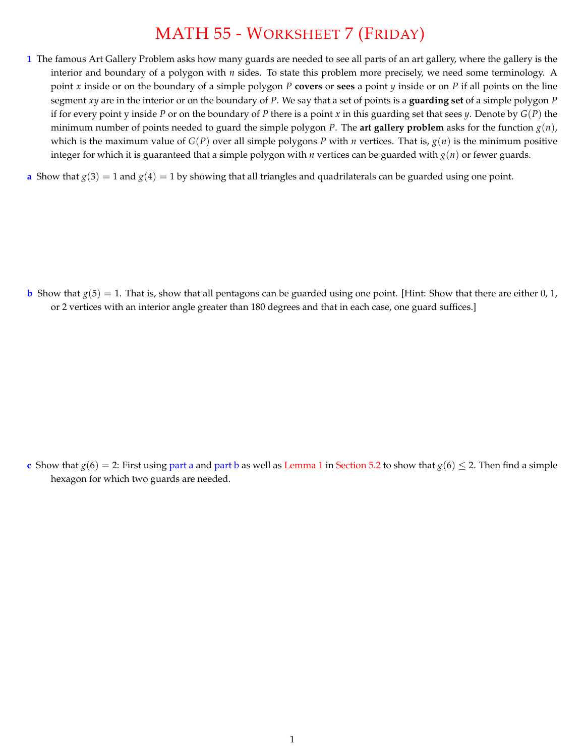## MATH 55 - WORKSHEET 7 (FRIDAY)

- **1** The famous Art Gallery Problem asks how many guards are needed to see all parts of an art gallery, where the gallery is the interior and boundary of a polygon with *n* sides. To state this problem more precisely, we need some terminology. A point *x* inside or on the boundary of a simple polygon *P* **covers** or **sees** a point *y* inside or on *P* if all points on the line segment *xy* are in the interior or on the boundary of *P*. We say that a set of points is a **guarding set** of a simple polygon *P* if for every point y inside *P* or on the boundary of *P* there is a point *x* in this guarding set that sees *y*. Denote by *G*(*P*) the minimum number of points needed to guard the simple polygon *P*. The art gallery problem asks for the function  $g(n)$ , which is the maximum value of *G*(*P*) over all simple polygons *P* with *n* vertices. That is, *g*(*n*) is the minimum positive integer for which it is guaranteed that a simple polygon with *n* vertices can be guarded with *g*(*n*) or fewer guards.
- **a** Show that  $g(3) = 1$  and  $g(4) = 1$  by showing that all triangles and quadrilaterals can be guarded using one point.

**b** Show that  $g(5) = 1$ . That is, show that all pentagons can be guarded using one point. [Hint: Show that there are either 0, 1, or 2 vertices with an interior angle greater than 180 degrees and that in each case, one guard suffices.]

**c** Show that  $g(6) = 2$ : First using part a and part b as well as Lemma 1 in Section 5.2 to show that  $g(6) \le 2$ . Then find a simple hexagon for which two guards are needed.